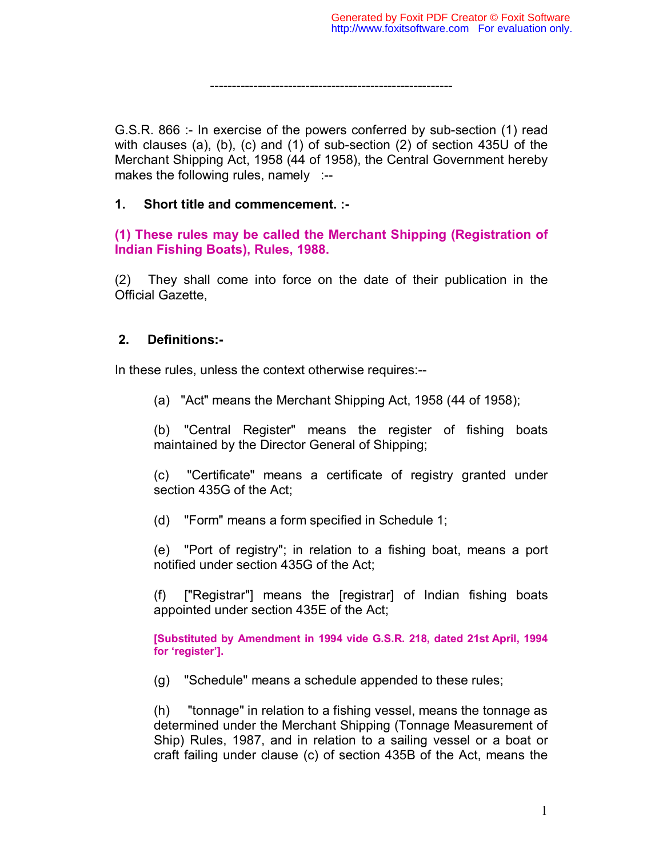--------------------------------------------------------

G.S.R. 866 :- In exercise of the powers conferred by sub-section (1) read with clauses (a), (b), (c) and (1) of sub-section (2) of section 435U of the Merchant Shipping Act, 1958 (44 of 1958), the Central Government hereby makes the following rules, namely :--

# **1. Short title and commencement. :-**

**(1) These rules may be called the Merchant Shipping (Registration of Indian Fishing Boats), Rules, 1988.**

(2) They shall come into force on the date of their publication in the Official Gazette,

# **2. Definitions:-**

In these rules, unless the context otherwise requires:--

(a) "Act" means the Merchant Shipping Act, 1958 (44 of 1958);

(b) "Central Register" means the register of fishing boats maintained by the Director General of Shipping;

(c) "Certificate" means a certificate of registry granted under section 435G of the Act;

(d) "Form" means a form specified in Schedule 1;

(e) "Port of registry"; in relation to a fishing boat, means a port notified under section 435G of the Act;

(f) ["Registrar"] means the [registrar] of Indian fishing boats appointed under section 435E of the Act;

**[Substituted by Amendment in 1994 vide G.S.R. 218, dated 21st April, 1994 for 'register'].**

(g) "Schedule" means a schedule appended to these rules;

(h) "tonnage" in relation to a fishing vessel, means the tonnage as determined under the Merchant Shipping (Tonnage Measurement of Ship) Rules, 1987, and in relation to a sailing vessel or a boat or craft failing under clause (c) of section 435B of the Act, means the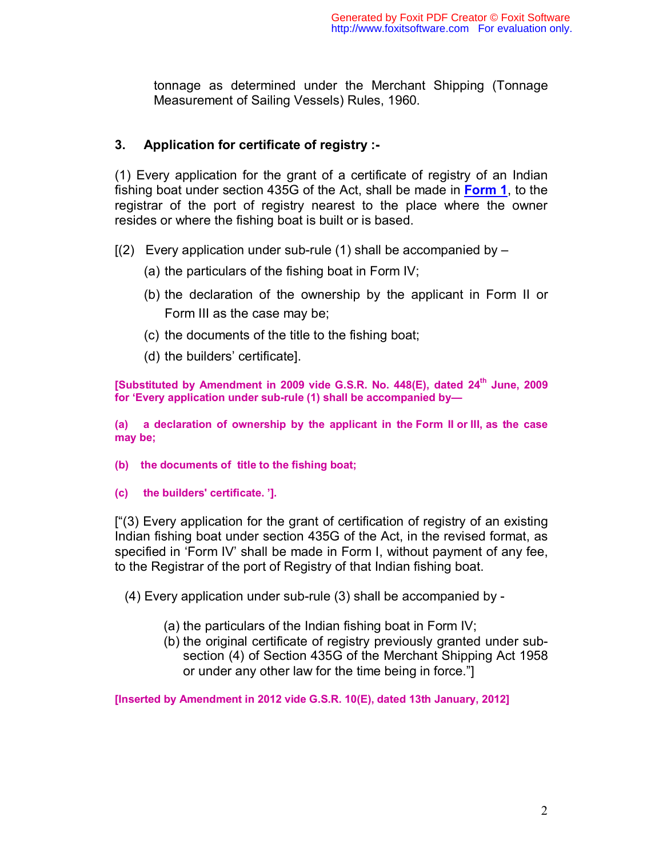tonnage as determined under the Merchant Shipping (Tonnage Measurement of Sailing Vessels) Rules, 1960.

# **3. Application for certificate of registry :-**

(1) Every application for the grant of a certificate of registry of an Indian fishing boat under section 435G of the Act, shall be made in **Form 1**, to the registrar of the port of registry nearest to the place where the owner resides or where the fishing boat is built or is based.

- $[(2)$  Every application under sub-rule (1) shall be accompanied by  $-$ 
	- (a) the particulars of the fishing boat in Form IV;
	- (b) the declaration of the ownership by the applicant in Form II or Form III as the case may be;
	- (c) the documents of the title to the fishing boat;
	- (d) the builders' certificate].

**[Substituted by Amendment in 2009 vide G.S.R. No. 448(E), dated 24th June, 2009 for 'Every application under sub-rule (1) shall be accompanied by—** 

**(a) a declaration of ownership by the applicant in the Form II or III, as the case may be;** 

- **(b) the documents of title to the fishing boat;**
- **(c) the builders' certificate. '].**

["(3) Every application for the grant of certification of registry of an existing Indian fishing boat under section 435G of the Act, in the revised format, as specified in 'Form IV' shall be made in Form I, without payment of any fee, to the Registrar of the port of Registry of that Indian fishing boat.

- (4) Every application under sub-rule (3) shall be accompanied by
	- (a) the particulars of the Indian fishing boat in Form IV;
	- (b) the original certificate of registry previously granted under subsection (4) of Section 435G of the Merchant Shipping Act 1958 or under any other law for the time being in force."]

**[Inserted by Amendment in 2012 vide G.S.R. 10(E), dated 13th January, 2012]**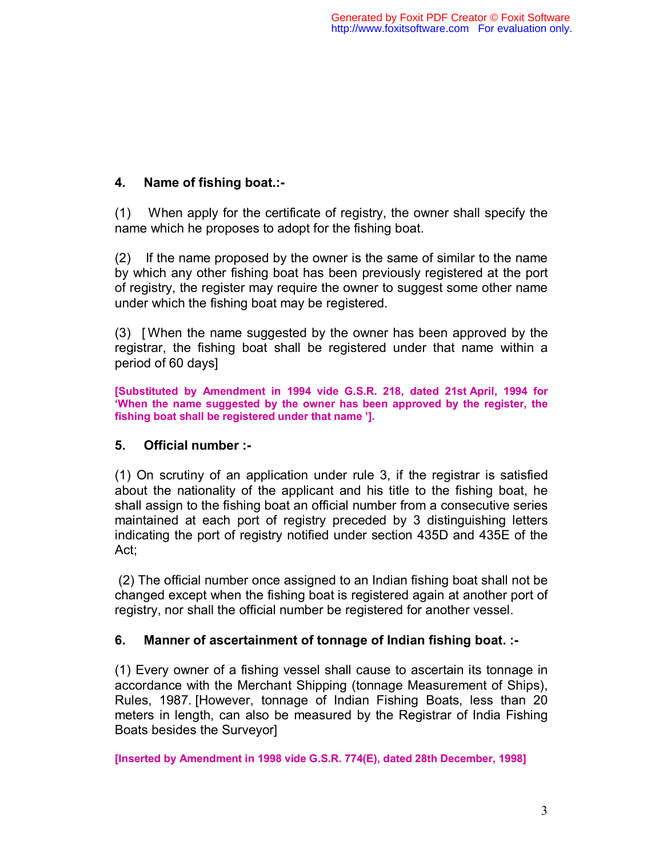# **4. Name of fishing boat.:-**

(1) When apply for the certificate of registry, the owner shall specify the name which he proposes to adopt for the fishing boat.

(2) If the name proposed by the owner is the same of similar to the name by which any other fishing boat has been previously registered at the port of registry, the register may require the owner to suggest some other name under which the fishing boat may be registered.

(3) [ When the name suggested by the owner has been approved by the registrar, the fishing boat shall be registered under that name within a period of 60 days]

**[Substituted by Amendment in 1994 vide G.S.R. 218, dated 21st April, 1994 for 'When the name suggested by the owner has been approved by the register, the fishing boat shall be registered under that name '].**

# **5. Official number :-**

(1) On scrutiny of an application under rule 3, if the registrar is satisfied about the nationality of the applicant and his title to the fishing boat, he shall assign to the fishing boat an official number from a consecutive series maintained at each port of registry preceded by 3 distinguishing letters indicating the port of registry notified under section 435D and 435E of the Act;

 (2) The official number once assigned to an Indian fishing boat shall not be changed except when the fishing boat is registered again at another port of registry, nor shall the official number be registered for another vessel.

# **6. Manner of ascertainment of tonnage of Indian fishing boat. :-**

(1) Every owner of a fishing vessel shall cause to ascertain its tonnage in accordance with the Merchant Shipping (tonnage Measurement of Ships), Rules, 1987. [However, tonnage of Indian Fishing Boats, less than 20 meters in length, can also be measured by the Registrar of India Fishing Boats besides the Surveyor]

**[Inserted by Amendment in 1998 vide G.S.R. 774(E), dated 28th December, 1998]**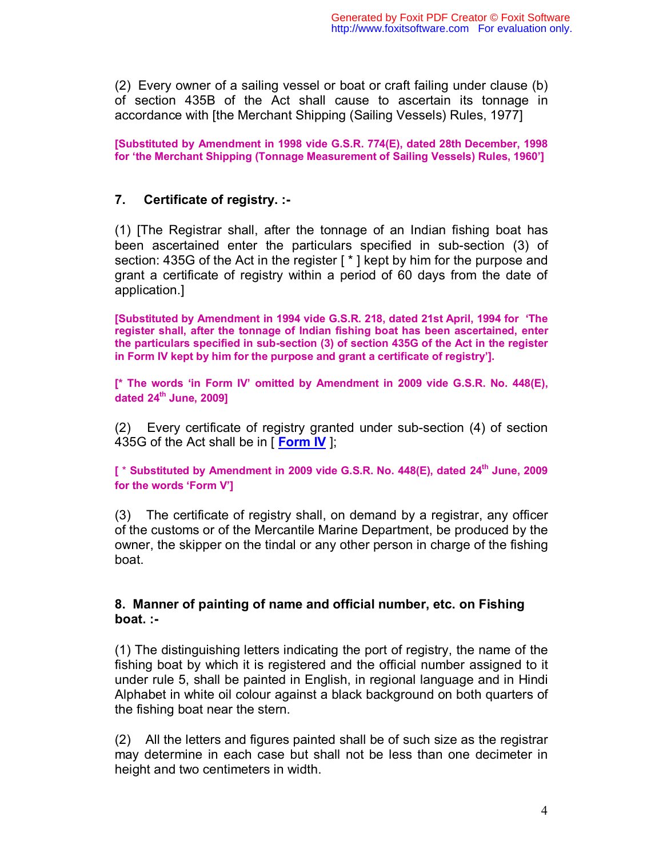(2) Every owner of a sailing vessel or boat or craft failing under clause (b) of section 435B of the Act shall cause to ascertain its tonnage in accordance with [the Merchant Shipping (Sailing Vessels) Rules, 1977]

**[Substituted by Amendment in 1998 vide G.S.R. 774(E), dated 28th December, 1998 for 'the Merchant Shipping (Tonnage Measurement of Sailing Vessels) Rules, 1960']**

#### **7. Certificate of registry. :-**

(1) [The Registrar shall, after the tonnage of an Indian fishing boat has been ascertained enter the particulars specified in sub-section (3) of section: 435G of the Act in the register [ \* ] kept by him for the purpose and grant a certificate of registry within a period of 60 days from the date of application.]

**[Substituted by Amendment in 1994 vide G.S.R. 218, dated 21st April, 1994 for 'The register shall, after the tonnage of Indian fishing boat has been ascertained, enter the particulars specified in sub-section (3) of section 435G of the Act in the register in Form IV kept by him for the purpose and grant a certificate of registry'].**

**[\* The words 'in Form IV' omitted by Amendment in 2009 vide G.S.R. No. 448(E), dated 24th June, 2009]**

(2) Every certificate of registry granted under sub-section (4) of section 435G of the Act shall be in [ **Form IV** ];

**[** \* **Substituted by Amendment in 2009 vide G.S.R. No. 448(E), dated 24th June, 2009 for the words 'Form V']**

(3) The certificate of registry shall, on demand by a registrar, any officer of the customs or of the Mercantile Marine Department, be produced by the owner, the skipper on the tindal or any other person in charge of the fishing boat.

#### **8. Manner of painting of name and official number, etc. on Fishing boat. :-**

(1) The distinguishing letters indicating the port of registry, the name of the fishing boat by which it is registered and the official number assigned to it under rule 5, shall be painted in English, in regional language and in Hindi Alphabet in white oil colour against a black background on both quarters of the fishing boat near the stern.

(2) All the letters and figures painted shall be of such size as the registrar may determine in each case but shall not be less than one decimeter in height and two centimeters in width.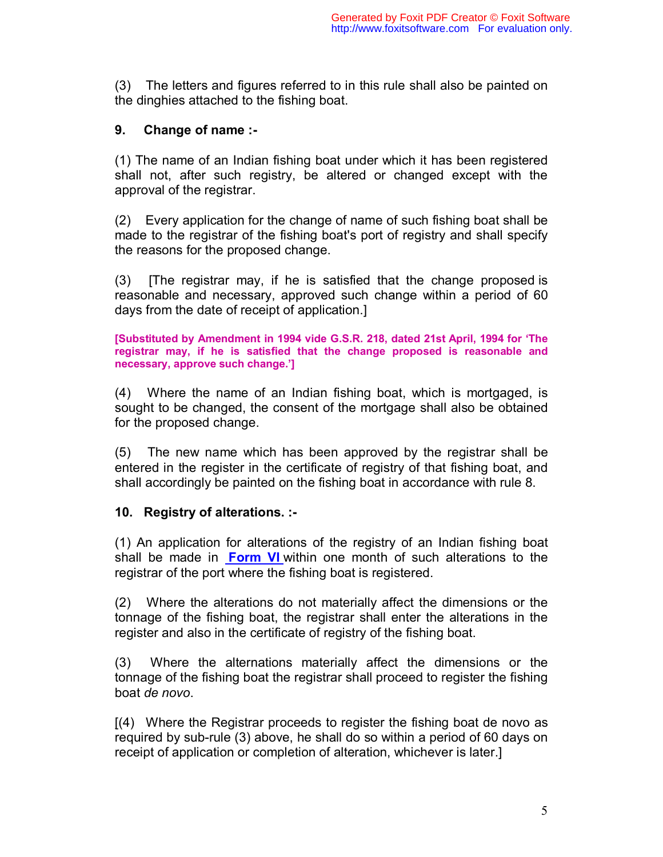(3) The letters and figures referred to in this rule shall also be painted on the dinghies attached to the fishing boat.

# **9. Change of name :-**

(1) The name of an Indian fishing boat under which it has been registered shall not, after such registry, be altered or changed except with the approval of the registrar.

(2) Every application for the change of name of such fishing boat shall be made to the registrar of the fishing boat's port of registry and shall specify the reasons for the proposed change.

(3) [The registrar may, if he is satisfied that the change proposed is reasonable and necessary, approved such change within a period of 60 days from the date of receipt of application.]

**[Substituted by Amendment in 1994 vide G.S.R. 218, dated 21st April, 1994 for 'The registrar may, if he is satisfied that the change proposed is reasonable and necessary, approve such change.']**

(4) Where the name of an Indian fishing boat, which is mortgaged, is sought to be changed, the consent of the mortgage shall also be obtained for the proposed change.

(5) The new name which has been approved by the registrar shall be entered in the register in the certificate of registry of that fishing boat, and shall accordingly be painted on the fishing boat in accordance with rule 8.

# **10. Registry of alterations. :-**

(1) An application for alterations of the registry of an Indian fishing boat shall be made in **Form VI** within one month of such alterations to the registrar of the port where the fishing boat is registered.

(2) Where the alterations do not materially affect the dimensions or the tonnage of the fishing boat, the registrar shall enter the alterations in the register and also in the certificate of registry of the fishing boat.

(3) Where the alternations materially affect the dimensions or the tonnage of the fishing boat the registrar shall proceed to register the fishing boat *de novo*.

[(4) Where the Registrar proceeds to register the fishing boat de novo as required by sub-rule (3) above, he shall do so within a period of 60 days on receipt of application or completion of alteration, whichever is later.]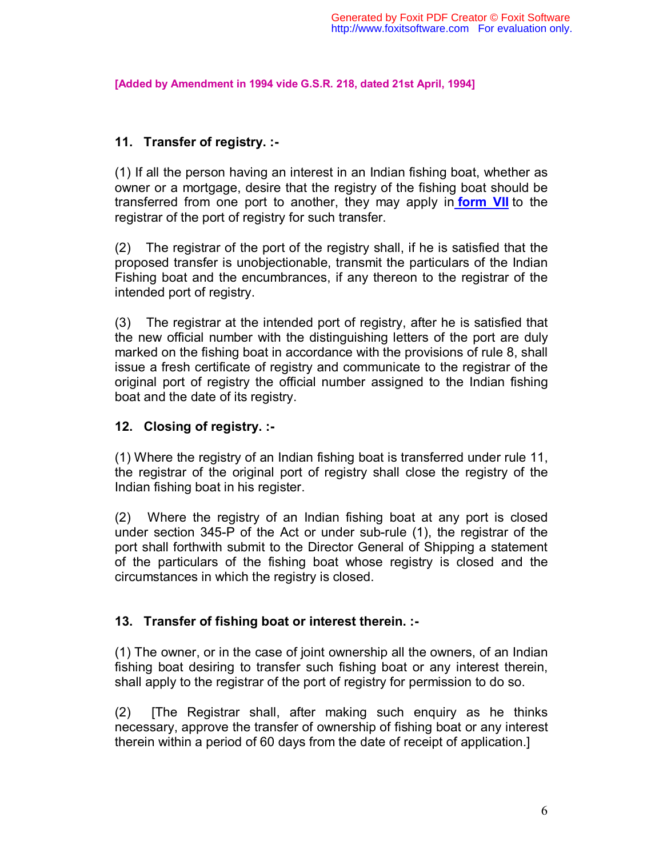**[Added by Amendment in 1994 vide G.S.R. 218, dated 21st April, 1994]**

# **11. Transfer of registry. :-**

(1) If all the person having an interest in an Indian fishing boat, whether as owner or a mortgage, desire that the registry of the fishing boat should be transferred from one port to another, they may apply in **form VII** to the registrar of the port of registry for such transfer.

(2) The registrar of the port of the registry shall, if he is satisfied that the proposed transfer is unobjectionable, transmit the particulars of the Indian Fishing boat and the encumbrances, if any thereon to the registrar of the intended port of registry.

(3) The registrar at the intended port of registry, after he is satisfied that the new official number with the distinguishing letters of the port are duly marked on the fishing boat in accordance with the provisions of rule 8, shall issue a fresh certificate of registry and communicate to the registrar of the original port of registry the official number assigned to the Indian fishing boat and the date of its registry.

# **12. Closing of registry. :-**

(1) Where the registry of an Indian fishing boat is transferred under rule 11, the registrar of the original port of registry shall close the registry of the Indian fishing boat in his register.

(2) Where the registry of an Indian fishing boat at any port is closed under section 345-P of the Act or under sub-rule (1), the registrar of the port shall forthwith submit to the Director General of Shipping a statement of the particulars of the fishing boat whose registry is closed and the circumstances in which the registry is closed.

# **13. Transfer of fishing boat or interest therein. :-**

(1) The owner, or in the case of joint ownership all the owners, of an Indian fishing boat desiring to transfer such fishing boat or any interest therein, shall apply to the registrar of the port of registry for permission to do so.

(2) [The Registrar shall, after making such enquiry as he thinks necessary, approve the transfer of ownership of fishing boat or any interest therein within a period of 60 days from the date of receipt of application.]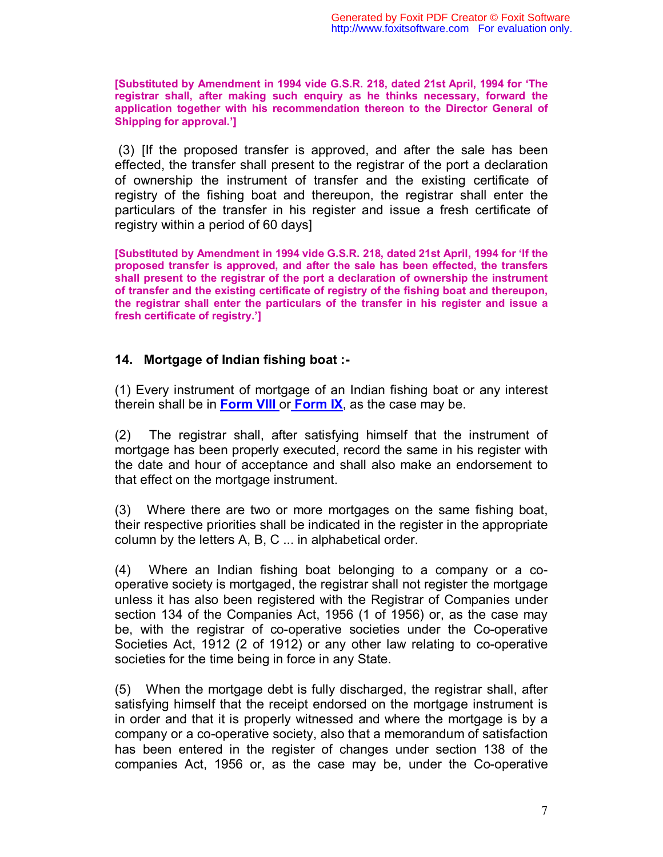**[Substituted by Amendment in 1994 vide G.S.R. 218, dated 21st April, 1994 for 'The registrar shall, after making such enquiry as he thinks necessary, forward the application together with his recommendation thereon to the Director General of Shipping for approval.']**

 (3) [If the proposed transfer is approved, and after the sale has been effected, the transfer shall present to the registrar of the port a declaration of ownership the instrument of transfer and the existing certificate of registry of the fishing boat and thereupon, the registrar shall enter the particulars of the transfer in his register and issue a fresh certificate of registry within a period of 60 days]

**[Substituted by Amendment in 1994 vide G.S.R. 218, dated 21st April, 1994 for 'If the proposed transfer is approved, and after the sale has been effected, the transfers shall present to the registrar of the port a declaration of ownership the instrument of transfer and the existing certificate of registry of the fishing boat and thereupon, the registrar shall enter the particulars of the transfer in his register and issue a fresh certificate of registry.']**

# **14. Mortgage of Indian fishing boat :-**

(1) Every instrument of mortgage of an Indian fishing boat or any interest therein shall be in **Form VIII** or **Form IX**, as the case may be.

(2) The registrar shall, after satisfying himself that the instrument of mortgage has been properly executed, record the same in his register with the date and hour of acceptance and shall also make an endorsement to that effect on the mortgage instrument.

(3) Where there are two or more mortgages on the same fishing boat, their respective priorities shall be indicated in the register in the appropriate column by the letters A, B, C ... in alphabetical order.

(4) Where an Indian fishing boat belonging to a company or a cooperative society is mortgaged, the registrar shall not register the mortgage unless it has also been registered with the Registrar of Companies under section 134 of the Companies Act, 1956 (1 of 1956) or, as the case may be, with the registrar of co-operative societies under the Co-operative Societies Act, 1912 (2 of 1912) or any other law relating to co-operative societies for the time being in force in any State.

(5) When the mortgage debt is fully discharged, the registrar shall, after satisfying himself that the receipt endorsed on the mortgage instrument is in order and that it is properly witnessed and where the mortgage is by a company or a co-operative society, also that a memorandum of satisfaction has been entered in the register of changes under section 138 of the companies Act, 1956 or, as the case may be, under the Co-operative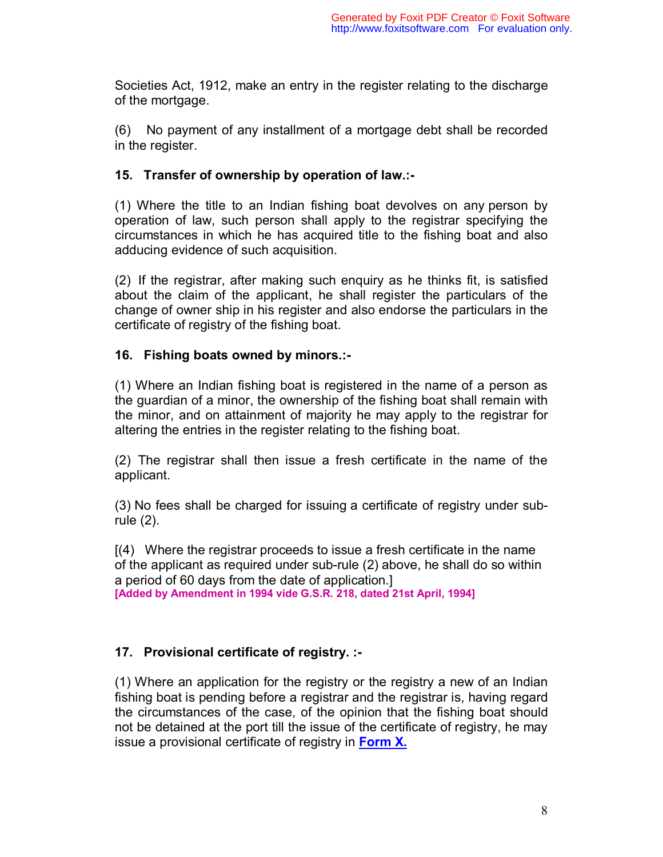Societies Act, 1912, make an entry in the register relating to the discharge of the mortgage.

(6) No payment of any installment of a mortgage debt shall be recorded in the register.

# **15. Transfer of ownership by operation of law.:-**

(1) Where the title to an Indian fishing boat devolves on any person by operation of law, such person shall apply to the registrar specifying the circumstances in which he has acquired title to the fishing boat and also adducing evidence of such acquisition.

(2) If the registrar, after making such enquiry as he thinks fit, is satisfied about the claim of the applicant, he shall register the particulars of the change of owner ship in his register and also endorse the particulars in the certificate of registry of the fishing boat.

# **16. Fishing boats owned by minors.:-**

(1) Where an Indian fishing boat is registered in the name of a person as the guardian of a minor, the ownership of the fishing boat shall remain with the minor, and on attainment of majority he may apply to the registrar for altering the entries in the register relating to the fishing boat.

(2) The registrar shall then issue a fresh certificate in the name of the applicant.

(3) No fees shall be charged for issuing a certificate of registry under subrule (2).

[(4) Where the registrar proceeds to issue a fresh certificate in the name of the applicant as required under sub-rule (2) above, he shall do so within a period of 60 days from the date of application.] **[Added by Amendment in 1994 vide G.S.R. 218, dated 21st April, 1994]**

# **17. Provisional certificate of registry. :-**

(1) Where an application for the registry or the registry a new of an Indian fishing boat is pending before a registrar and the registrar is, having regard the circumstances of the case, of the opinion that the fishing boat should not be detained at the port till the issue of the certificate of registry, he may issue a provisional certificate of registry in **Form X.**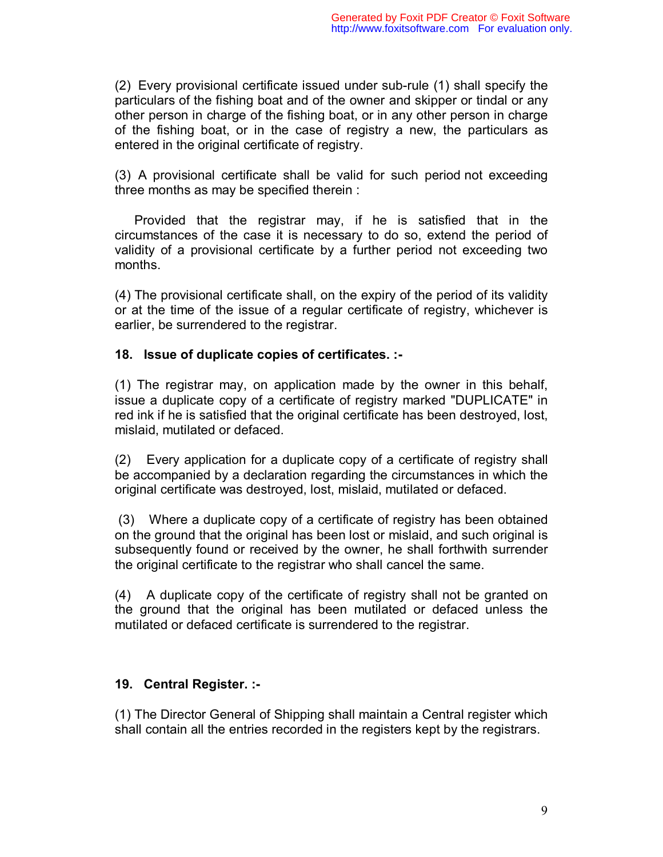(2) Every provisional certificate issued under sub-rule (1) shall specify the particulars of the fishing boat and of the owner and skipper or tindal or any other person in charge of the fishing boat, or in any other person in charge of the fishing boat, or in the case of registry a new, the particulars as entered in the original certificate of registry.

(3) A provisional certificate shall be valid for such period not exceeding three months as may be specified therein :

Provided that the registrar may, if he is satisfied that in the circumstances of the case it is necessary to do so, extend the period of validity of a provisional certificate by a further period not exceeding two months.

(4) The provisional certificate shall, on the expiry of the period of its validity or at the time of the issue of a regular certificate of registry, whichever is earlier, be surrendered to the registrar.

# **18. Issue of duplicate copies of certificates. :-**

(1) The registrar may, on application made by the owner in this behalf, issue a duplicate copy of a certificate of registry marked "DUPLICATE" in red ink if he is satisfied that the original certificate has been destroyed, lost, mislaid, mutilated or defaced.

(2) Every application for a duplicate copy of a certificate of registry shall be accompanied by a declaration regarding the circumstances in which the original certificate was destroyed, lost, mislaid, mutilated or defaced.

 (3) Where a duplicate copy of a certificate of registry has been obtained on the ground that the original has been lost or mislaid, and such original is subsequently found or received by the owner, he shall forthwith surrender the original certificate to the registrar who shall cancel the same.

(4) A duplicate copy of the certificate of registry shall not be granted on the ground that the original has been mutilated or defaced unless the mutilated or defaced certificate is surrendered to the registrar.

# **19. Central Register. :-**

(1) The Director General of Shipping shall maintain a Central register which shall contain all the entries recorded in the registers kept by the registrars.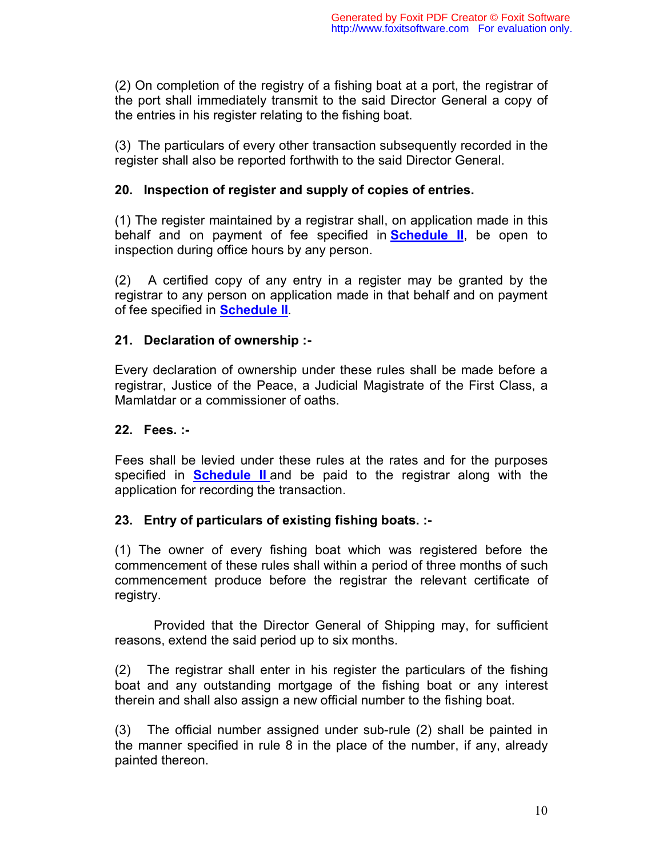(2) On completion of the registry of a fishing boat at a port, the registrar of the port shall immediately transmit to the said Director General a copy of the entries in his register relating to the fishing boat.

(3) The particulars of every other transaction subsequently recorded in the register shall also be reported forthwith to the said Director General.

# **20. Inspection of register and supply of copies of entries.**

(1) The register maintained by a registrar shall, on application made in this behalf and on payment of fee specified in **Schedule II**, be open to inspection during office hours by any person.

(2) A certified copy of any entry in a register may be granted by the registrar to any person on application made in that behalf and on payment of fee specified in **Schedule II**.

# **21. Declaration of ownership :-**

Every declaration of ownership under these rules shall be made before a registrar, Justice of the Peace, a Judicial Magistrate of the First Class, a Mamlatdar or a commissioner of oaths.

# **22. Fees. :-**

Fees shall be levied under these rules at the rates and for the purposes specified in **Schedule II** and be paid to the registrar along with the application for recording the transaction.

# **23. Entry of particulars of existing fishing boats. :-**

(1) The owner of every fishing boat which was registered before the commencement of these rules shall within a period of three months of such commencement produce before the registrar the relevant certificate of registry.

Provided that the Director General of Shipping may, for sufficient reasons, extend the said period up to six months.

(2) The registrar shall enter in his register the particulars of the fishing boat and any outstanding mortgage of the fishing boat or any interest therein and shall also assign a new official number to the fishing boat.

(3) The official number assigned under sub-rule (2) shall be painted in the manner specified in rule 8 in the place of the number, if any, already painted thereon.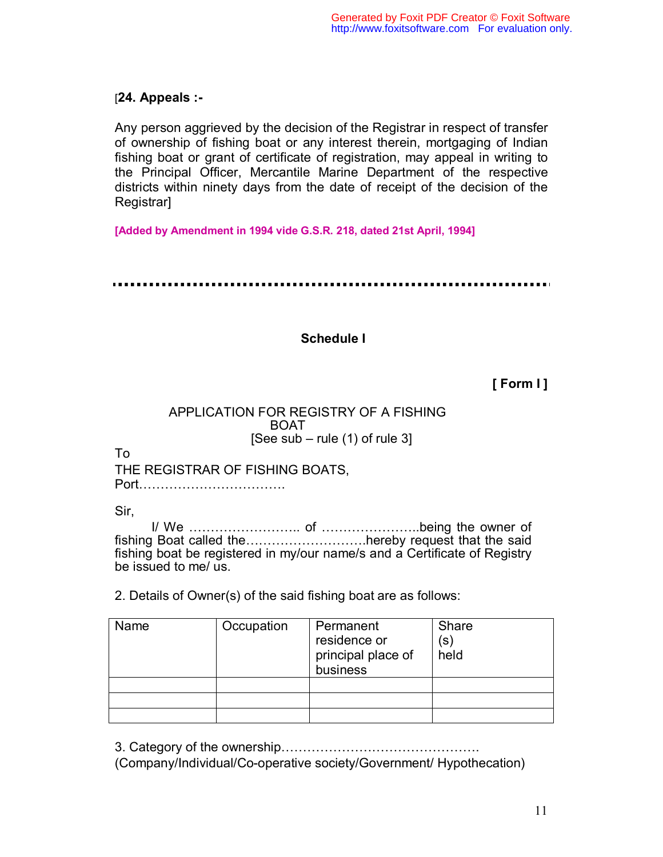# [**24. Appeals :-**

Any person aggrieved by the decision of the Registrar in respect of transfer of ownership of fishing boat or any interest therein, mortgaging of Indian fishing boat or grant of certificate of registration, may appeal in writing to the Principal Officer, Mercantile Marine Department of the respective districts within ninety days from the date of receipt of the decision of the Registrar]

**[Added by Amendment in 1994 vide G.S.R. 218, dated 21st April, 1994]**

# **Schedule I**

# **[ Form I ]**

# APPLICATION FOR REGISTRY OF A FISHING BOAT [See sub – rule  $(1)$  of rule 3]

To

THE REGISTRAR OF FISHING BOATS, Port…………………………….

Sir,

I/ We …………………….. of …………………..being the owner of fishing Boat called the ..............................hereby request that the said fishing boat be registered in my/our name/s and a Certificate of Registry be issued to me/ us.

2. Details of Owner(s) of the said fishing boat are as follows:

| Name | Occupation | Permanent<br>residence or<br>principal place of<br>business | Share<br>$(\mathsf{s})$<br>held |
|------|------------|-------------------------------------------------------------|---------------------------------|
|      |            |                                                             |                                 |
|      |            |                                                             |                                 |
|      |            |                                                             |                                 |

3. Category of the ownership……………………………………….

(Company/Individual/Co-operative society/Government/ Hypothecation)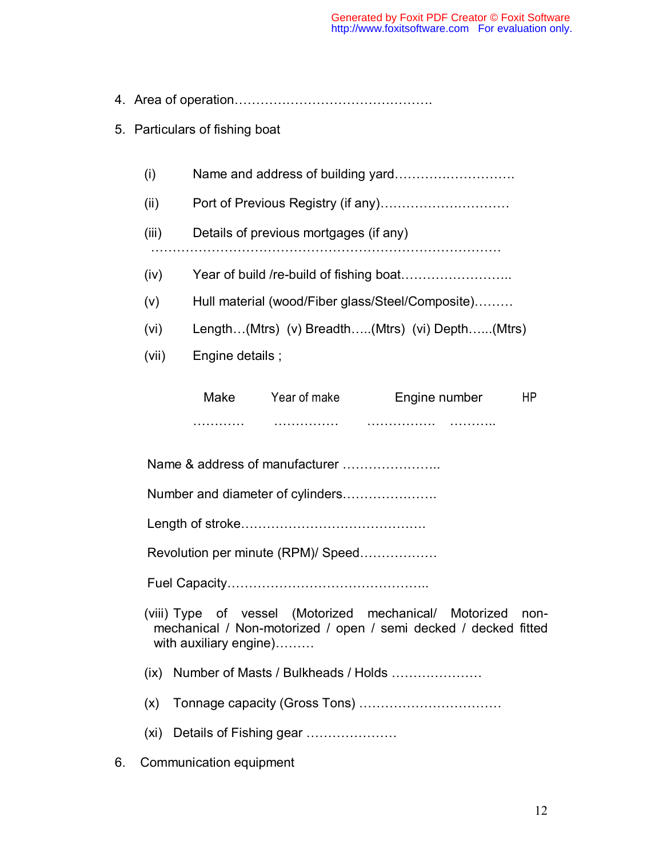|--|--|

# 5. Particulars of fishing boat

| (i) |  |
|-----|--|
|-----|--|

- (ii) Port of Previous Registry (if any)…………………………
- (iii) Details of previous mortgages (if any) ………………………………………………………………………
- 
- (iv) Year of build /re-build of fishing boat……………………..
- (v) Hull material (wood/Fiber glass/Steel/Composite)………
- (vi) Length…(Mtrs) (v) Breadth…..(Mtrs) (vi) Depth…...(Mtrs)
- (vii) Engine details ;

| Make | Year of make | Engine number |  |
|------|--------------|---------------|--|
| .    | .            | .<br>.        |  |

Name & address of manufacturer ……………………

Number and diameter of cylinders………………….

Length of stroke…………………………………….

Revolution per minute (RPM)/ Speed………………

Fuel Capacity………………………………………..

- (viii) Type of vessel (Motorized mechanical/ Motorized nonmechanical / Non-motorized / open / semi decked / decked fitted with auxiliary engine)………
- (ix) Number of Masts / Bulkheads / Holds …………………
- (x) Tonnage capacity (Gross Tons) ……………………………
- (xi) Details of Fishing gear …………………
- 6. Communication equipment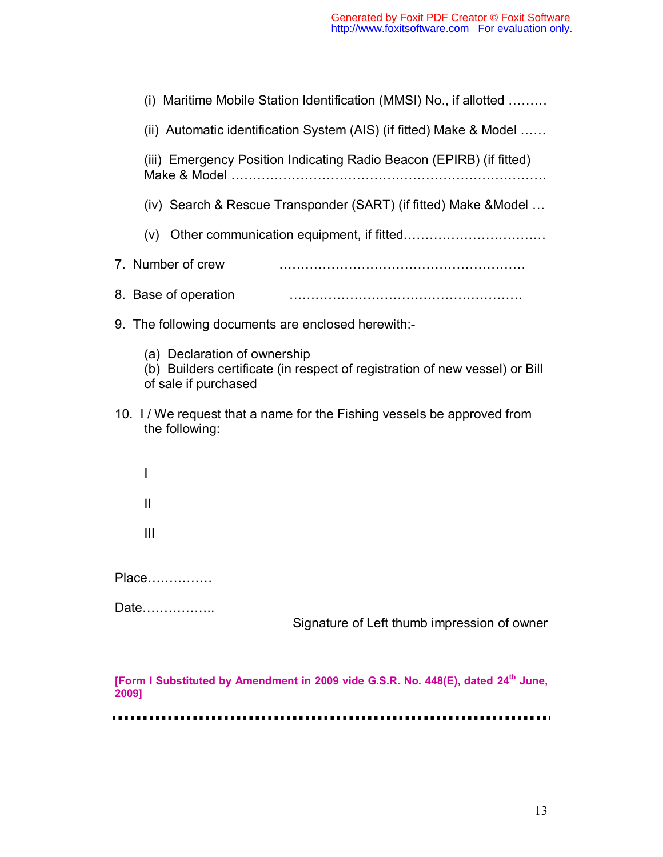| (i) Maritime Mobile Station Identification (MMSI) No., if allotted                                                                  |  |  |  |
|-------------------------------------------------------------------------------------------------------------------------------------|--|--|--|
| (ii) Automatic identification System (AIS) (if fitted) Make & Model                                                                 |  |  |  |
| (iii) Emergency Position Indicating Radio Beacon (EPIRB) (if fitted)                                                                |  |  |  |
| (iv) Search & Rescue Transponder (SART) (if fitted) Make & Model                                                                    |  |  |  |
|                                                                                                                                     |  |  |  |
| 7. Number of crew                                                                                                                   |  |  |  |
| 8. Base of operation                                                                                                                |  |  |  |
| 9. The following documents are enclosed herewith:-                                                                                  |  |  |  |
| (a) Declaration of ownership<br>(b) Builders certificate (in respect of registration of new vessel) or Bill<br>of sale if purchased |  |  |  |
| 10. I / We request that a name for the Fishing vessels be approved from<br>the following:                                           |  |  |  |
| $\mathsf{l}$                                                                                                                        |  |  |  |
| $\mathbf{I}$                                                                                                                        |  |  |  |
| $\mathbf{III}$                                                                                                                      |  |  |  |
| Place                                                                                                                               |  |  |  |
| Date<br>Signature of Left thumb impression of owner                                                                                 |  |  |  |
| [Form I Substituted by Amendment in 2009 vide G.S.R. No. 448(E), dated 24 <sup>th</sup> June,<br>2009]                              |  |  |  |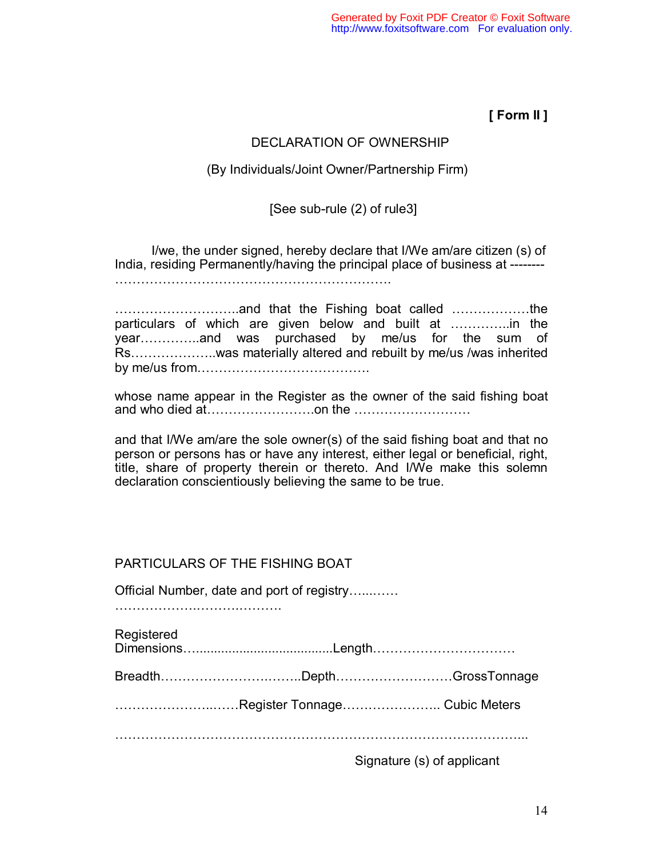**[ Form II ]** 

# DECLARATION OF OWNERSHIP

#### (By Individuals/Joint Owner/Partnership Firm)

# [See sub-rule (2) of rule3]

I/we, the under signed, hereby declare that I/We am/are citizen (s) of India, residing Permanently/having the principal place of business at -------- ……………………………………………………….

………………………..and that the Fishing boat called ………………the particulars of which are given below and built at …………..in the year…………..and was purchased by me/us for the sum of Rs………………..was materially altered and rebuilt by me/us /was inherited by me/us from………………………………….

whose name appear in the Register as the owner of the said fishing boat and who died at…………………….on the ………………………

and that I/We am/are the sole owner(s) of the said fishing boat and that no person or persons has or have any interest, either legal or beneficial, right, title, share of property therein or thereto. And I/We make this solemn declaration conscientiously believing the same to be true.

|                                            | <b>PARTICULARS OF THE FISHING BOAT</b> |                               |  |
|--------------------------------------------|----------------------------------------|-------------------------------|--|
| Official Number, date and port of registry |                                        |                               |  |
| Registered                                 |                                        |                               |  |
|                                            |                                        | BreadthDepthGrossTonnage      |  |
|                                            |                                        | Register Tonnage Cubic Meters |  |
|                                            |                                        |                               |  |
|                                            |                                        | Signature (s) of applicant    |  |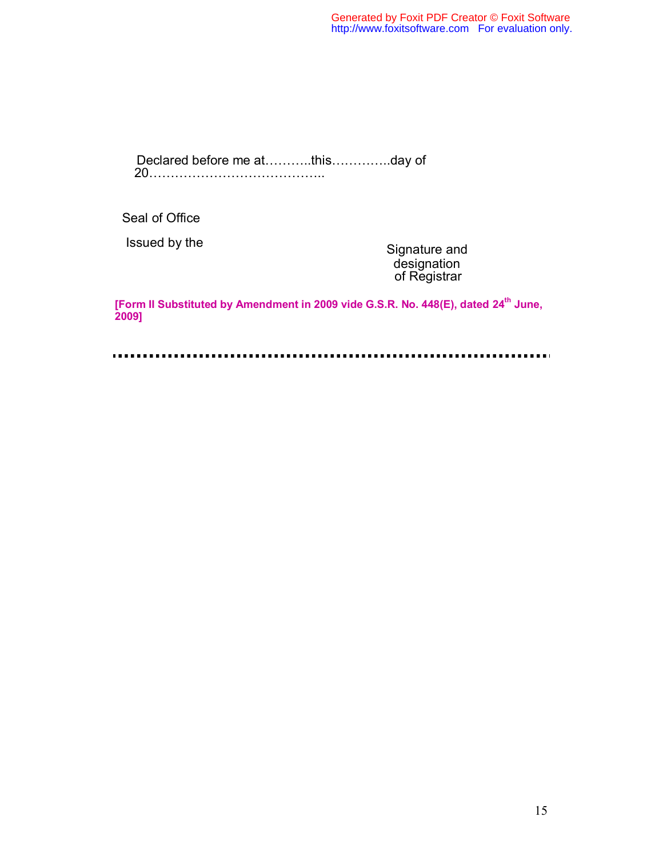Declared before me at………..this…………..day of 20…………………………………..

Seal of Office

Issued by the Signature and designation of Registrar

**[Form II Substituted by Amendment in 2009 vide G.S.R. No. 448(E), dated 24th June, 2009]**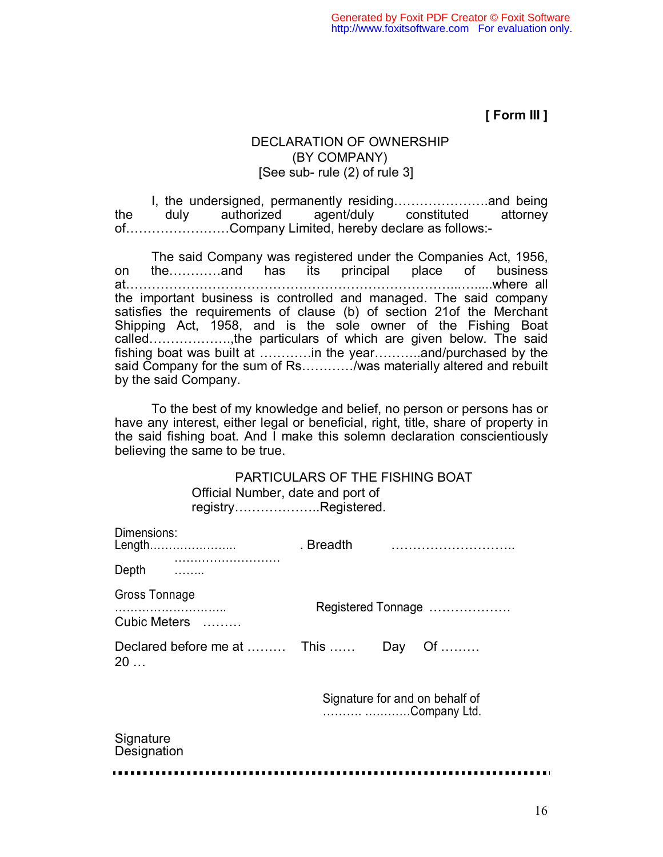**[ Form III ]** 

# DECLARATION OF OWNERSHIP (BY COMPANY) [See sub- rule (2) of rule 3]

I, the undersigned, permanently residing………………….and being the duly authorized agent/duly constituted attorney of……………………Company Limited, hereby declare as follows:-

The said Company was registered under the Companies Act, 1956, on the…………and has its principal place of business at…………………………………………………………………...….....where all the important business is controlled and managed. The said company satisfies the requirements of clause (b) of section 21of the Merchant Shipping Act, 1958, and is the sole owner of the Fishing Boat called……………….,the particulars of which are given below. The said fishing boat was built at …………in the year………..and/purchased by the said Company for the sum of Rs…………/was materially altered and rebuilt by the said Company.

To the best of my knowledge and belief, no person or persons has or have any interest, either legal or beneficial, right, title, share of property in the said fishing boat. And I make this solemn declaration conscientiously believing the same to be true.

> PARTICULARS OF THE FISHING BOAT Official Number, date and port of registry………………..Registered.

| Dimensions:<br>Length             | . Breadth          |     |                                                |
|-----------------------------------|--------------------|-----|------------------------------------------------|
| Depth                             |                    |     |                                                |
| <b>Gross Tonnage</b>              | Registered Tonnage |     |                                                |
| Cubic Meters                      |                    |     |                                                |
| Declared before me at  This<br>20 |                    | Day | Of                                             |
|                                   |                    |     | Signature for and on behalf of<br>Company Ltd. |
| Signature<br>Designation          |                    |     |                                                |
|                                   |                    |     |                                                |

. . . . .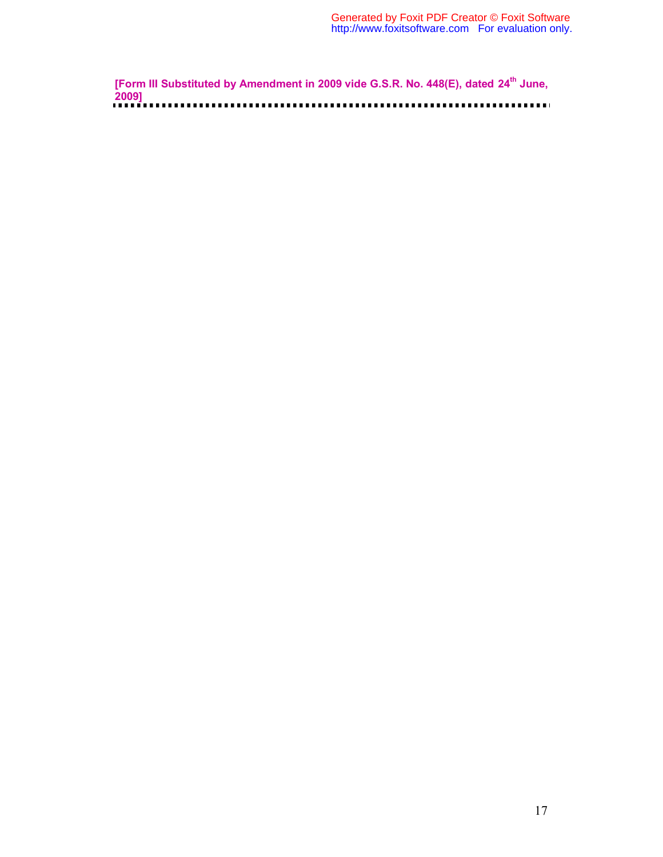**[Form III Substituted by Amendment in 2009 vide G.S.R. No. 448(E), dated 24<sup>th</sup> June, 2009]**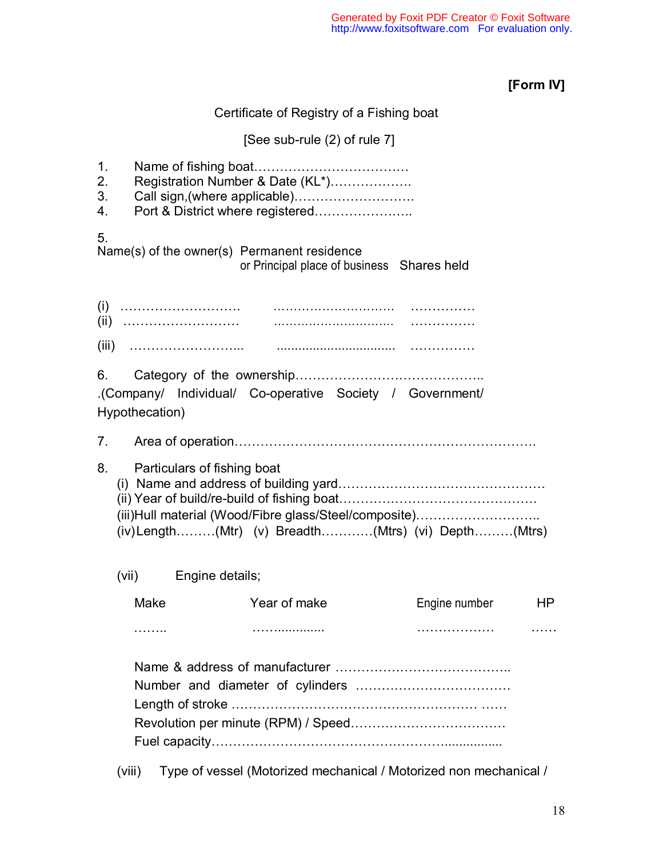# **[Form IV]**

Certificate of Registry of a Fishing boat

# [See sub-rule (2) of rule 7]

| 1.<br>2.<br>3.<br>4. |                             | Registration Number & Date (KL*)<br>Call sign, (where applicable)<br>Port & District where registered           |               |    |
|----------------------|-----------------------------|-----------------------------------------------------------------------------------------------------------------|---------------|----|
| 5.                   |                             | Name(s) of the owner(s) Permanent residence<br>or Principal place of business Shares held                       |               |    |
|                      |                             |                                                                                                                 |               |    |
|                      |                             |                                                                                                                 |               |    |
|                      | Hypothecation)              | .(Company/ Individual/ Co-operative Society / Government/                                                       |               |    |
|                      |                             |                                                                                                                 |               |    |
| 8.                   | Particulars of fishing boat | (iii) Hull material (Wood/Fibre glass/Steel/composite)<br>$(iv)$ Length(Mtr) (v) Breadth(Mtrs) (vi) Depth(Mtrs) |               |    |
|                      | (vii) Engine details;       |                                                                                                                 |               |    |
|                      | Make                        | Year of make                                                                                                    | Engine number | ΗP |
|                      | .                           |                                                                                                                 |               |    |
|                      |                             |                                                                                                                 |               |    |
|                      | (viii)                      | Type of vessel (Motorized mechanical / Motorized non mechanical /                                               |               |    |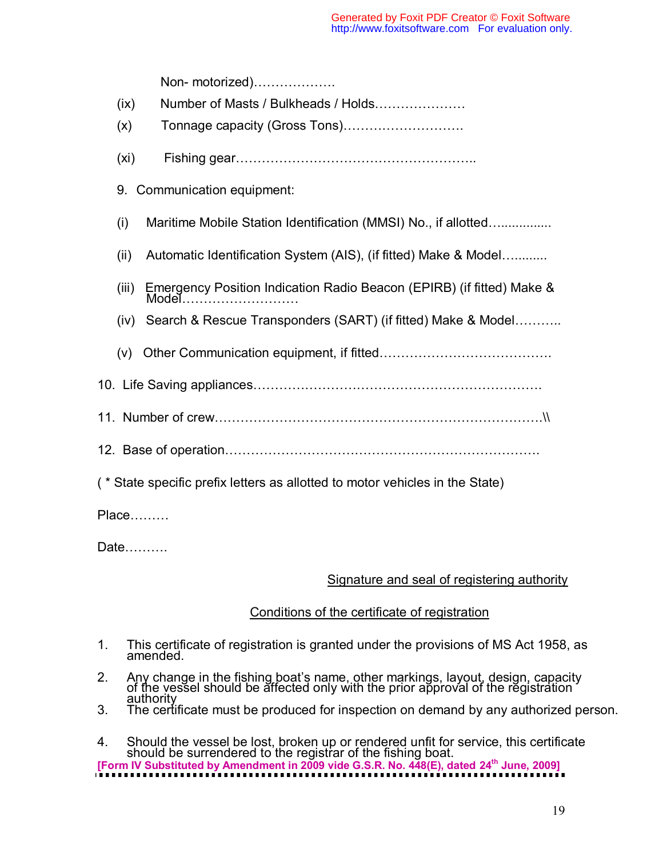Non- motorized)………………. (ix) Number of Masts / Bulkheads / Holds………………… (x) Tonnage capacity (Gross Tons)………………………. (xi) Fishing gear……………………………………………….. 9. Communication equipment: (i) Maritime Mobile Station Identification (MMSI) No., if allotted….............. (ii) Automatic Identification System (AIS), (if fitted) Make & Model…......... (iii) Emergency Position Indication Radio Beacon (EPIRB) (if fitted) Make & Model......................... (iv) Search & Rescue Transponders (SART) (if fitted) Make & Model……….. (v) Other Communication equipment, if fitted…………………………………. 10. Life Saving appliances…………………………………………………………. 11. Number of crew………………………………………………………………….\\ 12. Base of operation………………………………………………………………. ( \* State specific prefix letters as allotted to motor vehicles in the State) Place………

Date……….

# Signature and seal of registering authority

# Conditions of the certificate of registration

- 1. This certificate of registration is granted under the provisions of MS Act 1958, as a amended.
- 2. Any change in the fishing boat's name, other markings, layout, design, capacity of the vessel should be affected only with the prior approval of the registration
- authority<br>3. The certificate must be produced for inspection on demand by any authorized person.
- 4. Should the vessel be lost, broken up or rendered unfit for service, this certificate should be surrendered to the registrar of the fishing boat. **[Form IV Substituted by Amendment in 2009 vide G.S.R. No. 448(E), dated 24th June, 2009]**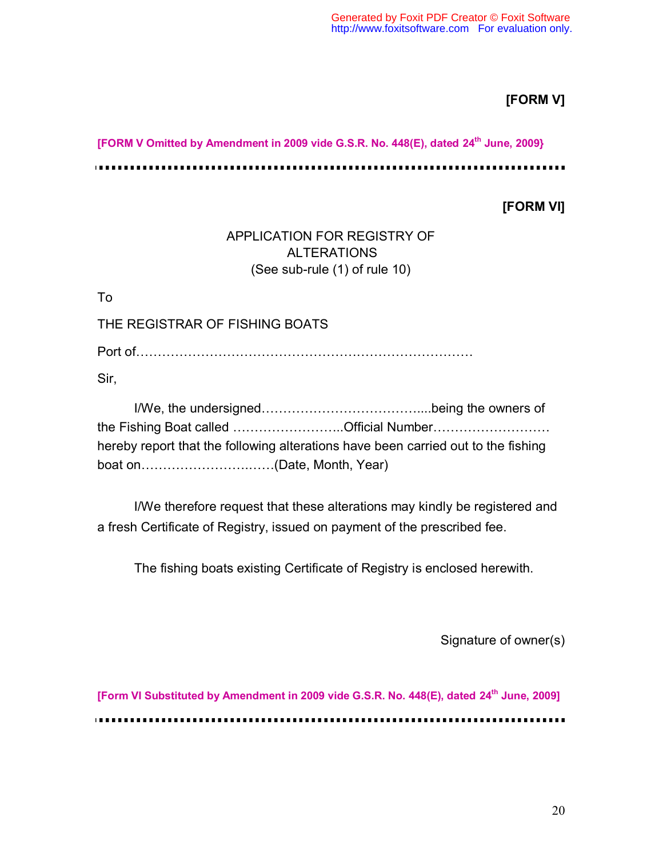# **[FORM V]**

**[FORM V Omitted by Amendment in 2009 vide G.S.R. No. 448(E), dated 24th June, 2009}**

. **. . . . . . . . . . .** .

**[FORM VI]** 

i na m

# APPLICATION FOR REGISTRY OF ALTERATIONS (See sub-rule (1) of rule 10)

To

THE REGISTRAR OF FISHING BOATS

Port of……………………………………………………………………

Sir,

| the Fishing Boat called Official Number                                           |
|-----------------------------------------------------------------------------------|
| hereby report that the following alterations have been carried out to the fishing |
|                                                                                   |

I/We therefore request that these alterations may kindly be registered and a fresh Certificate of Registry, issued on payment of the prescribed fee.

The fishing boats existing Certificate of Registry is enclosed herewith.

Signature of owner(s)

**[Form VI Substituted by Amendment in 2009 vide G.S.R. No. 448(E), dated 24<sup>th</sup> June, 2009]**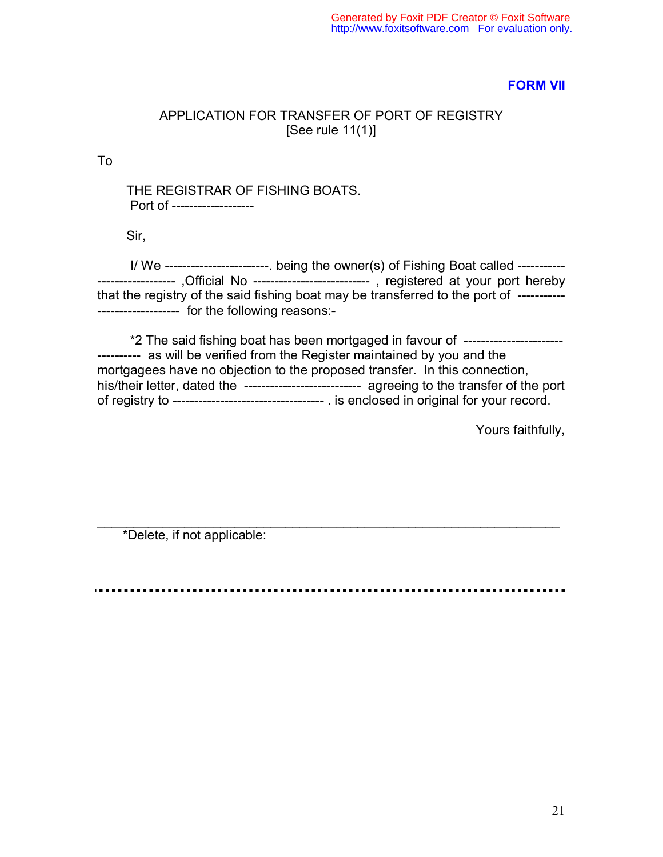#### **FORM VII**

#### APPLICATION FOR TRANSFER OF PORT OF REGISTRY [See rule 11(1)]

To

 THE REGISTRAR OF FISHING BOATS. Port of -------------------

Sir,

 I/ We ------------------------. being the owner(s) of Fishing Boat called ----------- ------------------ ,Official No --------------------------- , registered at your port hereby that the registry of the said fishing boat may be transferred to the port of ----------- ------------------- for the following reasons:-

 \*2 The said fishing boat has been mortgaged in favour of ----------------------- ---------- as will be verified from the Register maintained by you and the mortgagees have no objection to the proposed transfer. In this connection, his/their letter, dated the -------------------------------- agreeing to the transfer of the port of registry to ----------------------------------- . is enclosed in original for your record.

Yours faithfully,

\*Delete, if not applicable:

 $\overline{\phantom{a}}$  , and the contribution of the contribution of the contribution of the contribution of the contribution of the contribution of the contribution of the contribution of the contribution of the contribution of the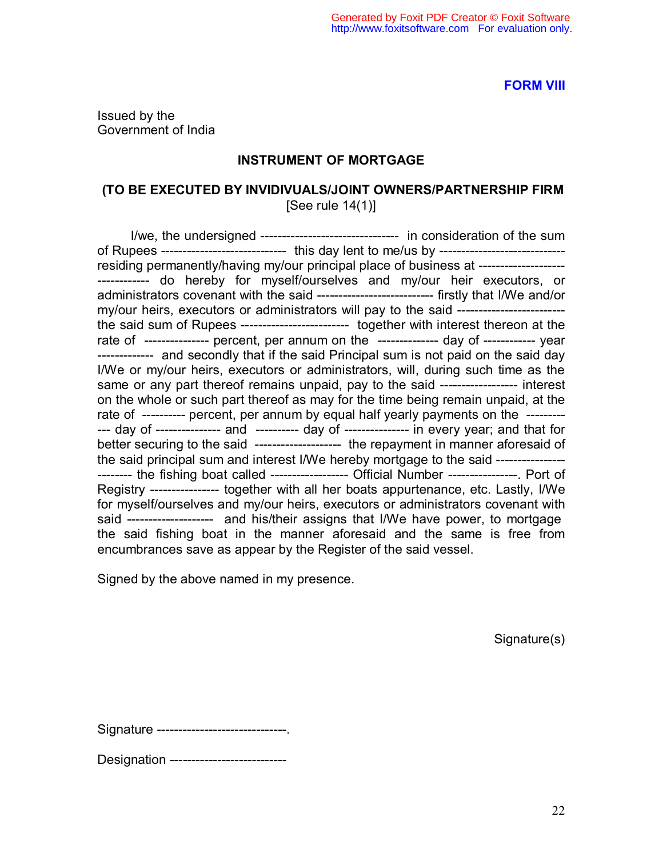**FORM VIII**

Issued by the Government of India

#### **INSTRUMENT OF MORTGAGE**

# **(TO BE EXECUTED BY INVIDIVUALS/JOINT OWNERS/PARTNERSHIP FIRM**

[See rule 14(1)]

 I/we, the undersigned -------------------------------- in consideration of the sum of Rupees ------------------------------ this day lent to me/us by ------------------------------residing permanently/having my/our principal place of business at -------------------------------- do hereby for myself/ourselves and my/our heir executors, or administrators covenant with the said --------------------------- firstly that I/We and/or my/our heirs, executors or administrators will pay to the said ------------------------ the said sum of Rupees ------------------------- together with interest thereon at the rate of --------------- percent, per annum on the --------------- day of ------------ year ------------- and secondly that if the said Principal sum is not paid on the said day I/We or my/our heirs, executors or administrators, will, during such time as the same or any part thereof remains unpaid, pay to the said ------------------- interest on the whole or such part thereof as may for the time being remain unpaid, at the rate of ---------- percent, per annum by equal half yearly payments on the ------------ day of --------------- and ---------- day of --------------- in every year; and that for better securing to the said --------------------- the repayment in manner aforesaid of the said principal sum and interest I/We hereby mortgage to the said ---------------- -------- the fishing boat called ------------------ Official Number ----------------. Port of Registry ---------------- together with all her boats appurtenance, etc. Lastly, I/We for myself/ourselves and my/our heirs, executors or administrators covenant with said -------------------- and his/their assigns that I/We have power, to mortgage the said fishing boat in the manner aforesaid and the same is free from encumbrances save as appear by the Register of the said vessel.

Signed by the above named in my presence.

Signature(s)

Signature ------------------------------.

Designation ---------------------------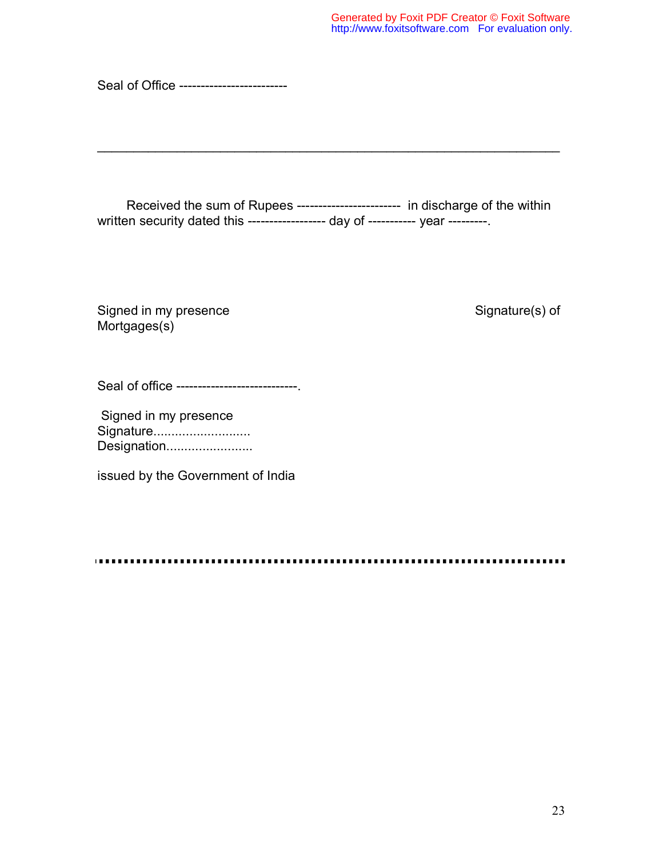Seal of Office -------------------------

Received the sum of Rupees ------------------------ in discharge of the within written security dated this ------------------- day of ----------- year ---------

 $\overline{\phantom{a}}$  , and the contribution of the contribution of the contribution of the contribution of the contribution of the contribution of the contribution of the contribution of the contribution of the contribution of the

Signed in my presence Signature(s) of Mortgages(s)

Seal of office ------------------------------

 Signed in my presence Signature........................... Designation.........................

issued by the Government of India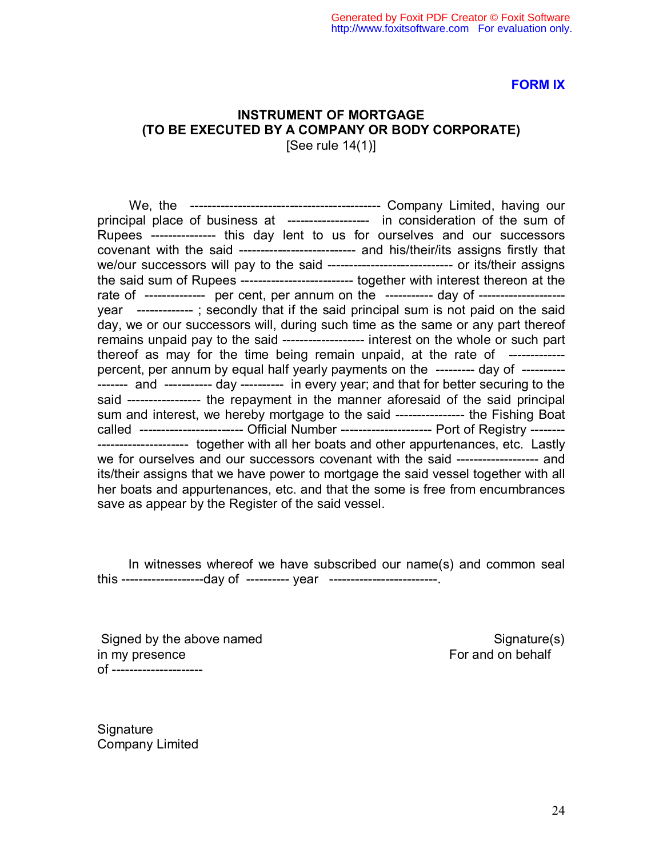#### **FORM IX**

#### **INSTRUMENT OF MORTGAGE (TO BE EXECUTED BY A COMPANY OR BODY CORPORATE)**  [See rule 14(1)]

 We, the -------------------------------------------- Company Limited, having our principal place of business at ------------------- in consideration of the sum of Rupees --------------- this day lent to us for ourselves and our successors covenant with the said --------------------------- and his/their/its assigns firstly that we/our successors will pay to the said ----------------------------- or its/their assigns the said sum of Rupees -------------------------- together with interest thereon at the rate of -------------- per cent, per annum on the ------------ day of --------------------year ------------- ; secondly that if the said principal sum is not paid on the said day, we or our successors will, during such time as the same or any part thereof remains unpaid pay to the said ------------------- interest on the whole or such part thereof as may for the time being remain unpaid, at the rate of ------------percent, per annum by equal half yearly payments on the --------- day of ---------- ------- and ----------- day ---------- in every year; and that for better securing to the said ----------------- the repayment in the manner aforesaid of the said principal sum and interest, we hereby mortgage to the said ----------------- the Fishing Boat called ------------------------ Official Number --------------------- Port of Registry -------- --------------------- together with all her boats and other appurtenances, etc. Lastly we for ourselves and our successors covenant with the said ------------------- and its/their assigns that we have power to mortgage the said vessel together with all her boats and appurtenances, etc. and that the some is free from encumbrances save as appear by the Register of the said vessel.

 In witnesses whereof we have subscribed our name(s) and common seal this -------------------day of ---------- year -------------------------.

Signed by the above named Signature(s) in my presence For and on behalf of ---------------------

**Signature** Company Limited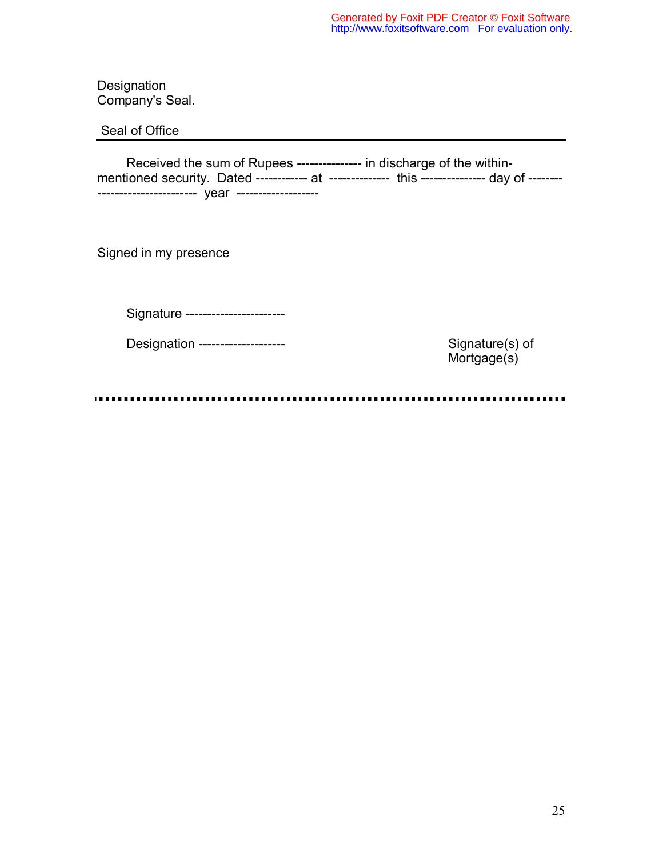**Designation** Company's Seal.

Seal of Office

 Received the sum of Rupees --------------- in discharge of the withinmentioned security. Dated ------------ at --------------- this --------------- day of ------------------------------- year -------------------

Signed in my presence

Signature -----------------------

Designation -------------------- Signature(s) of

Mortgage(s)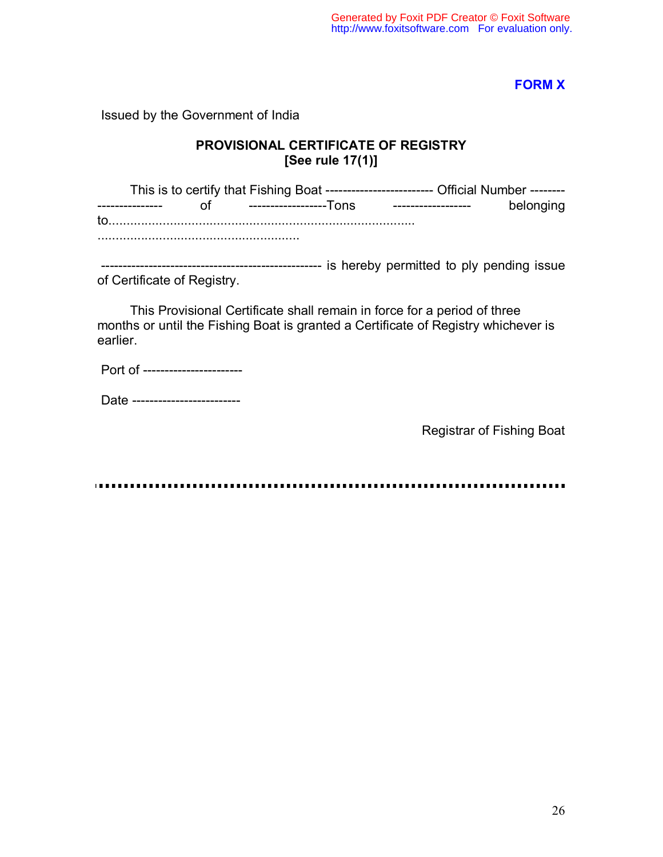# **FORM X**

Issued by the Government of India

# **PROVISIONAL CERTIFICATE OF REGISTRY [See rule 17(1)]**

This is to certify that Fishing Boat -------------------------- Official Number ---------------------- of -----------------Tons ------------------- belonging to..................................................................................... ........................................................

 --------------------------------------------------- is hereby permitted to ply pending issue of Certificate of Registry.

 This Provisional Certificate shall remain in force for a period of three months or until the Fishing Boat is granted a Certificate of Registry whichever is earlier.

Port of -----------------------

Date --------------------------

Registrar of Fishing Boat